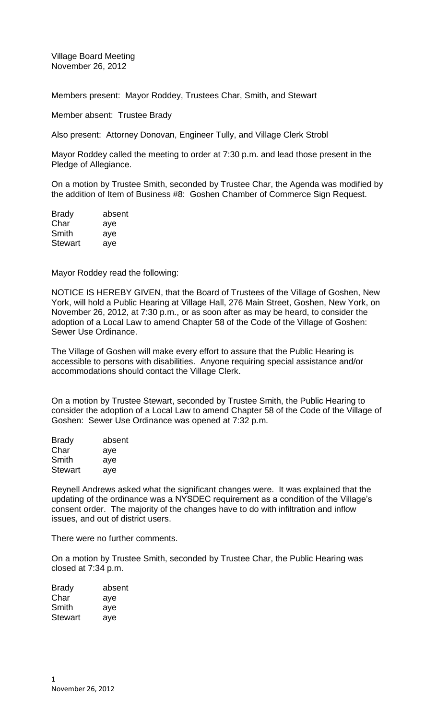Village Board Meeting November 26, 2012

Members present: Mayor Roddey, Trustees Char, Smith, and Stewart

Member absent: Trustee Brady

Also present: Attorney Donovan, Engineer Tully, and Village Clerk Strobl

Mayor Roddey called the meeting to order at 7:30 p.m. and lead those present in the Pledge of Allegiance.

On a motion by Trustee Smith, seconded by Trustee Char, the Agenda was modified by the addition of Item of Business #8: Goshen Chamber of Commerce Sign Request.

| <b>Brady</b>   | absent |
|----------------|--------|
| Char           | aye    |
| Smith          | aye    |
| <b>Stewart</b> | aye    |

Mayor Roddey read the following:

NOTICE IS HEREBY GIVEN, that the Board of Trustees of the Village of Goshen, New York, will hold a Public Hearing at Village Hall, 276 Main Street, Goshen, New York, on November 26, 2012, at 7:30 p.m., or as soon after as may be heard, to consider the adoption of a Local Law to amend Chapter 58 of the Code of the Village of Goshen: Sewer Use Ordinance.

The Village of Goshen will make every effort to assure that the Public Hearing is accessible to persons with disabilities. Anyone requiring special assistance and/or accommodations should contact the Village Clerk.

On a motion by Trustee Stewart, seconded by Trustee Smith, the Public Hearing to consider the adoption of a Local Law to amend Chapter 58 of the Code of the Village of Goshen: Sewer Use Ordinance was opened at 7:32 p.m.

| absent |
|--------|
| aye    |
| aye    |
| aye    |
|        |

Reynell Andrews asked what the significant changes were. It was explained that the updating of the ordinance was a NYSDEC requirement as a condition of the Village's consent order. The majority of the changes have to do with infiltration and inflow issues, and out of district users.

There were no further comments.

On a motion by Trustee Smith, seconded by Trustee Char, the Public Hearing was closed at 7:34 p.m.

| <b>Brady</b>   | absent |
|----------------|--------|
| Char           | aye    |
| Smith          | aye    |
| <b>Stewart</b> | aye    |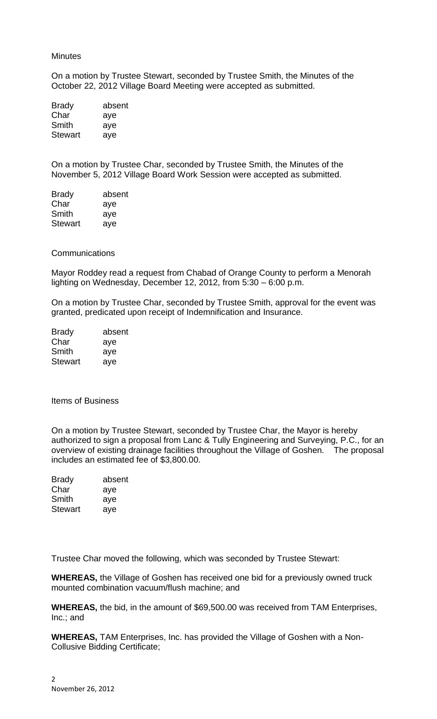### **Minutes**

On a motion by Trustee Stewart, seconded by Trustee Smith, the Minutes of the October 22, 2012 Village Board Meeting were accepted as submitted.

| <b>Brady</b>   | absent |
|----------------|--------|
| Char           | aye    |
| Smith          | aye    |
| <b>Stewart</b> | aye    |

On a motion by Trustee Char, seconded by Trustee Smith, the Minutes of the November 5, 2012 Village Board Work Session were accepted as submitted.

| <b>Brady</b>   | absent |
|----------------|--------|
| Char           | aye    |
| Smith          | aye    |
| <b>Stewart</b> | aye    |

### **Communications**

Mayor Roddey read a request from Chabad of Orange County to perform a Menorah lighting on Wednesday, December 12, 2012, from 5:30 – 6:00 p.m.

On a motion by Trustee Char, seconded by Trustee Smith, approval for the event was granted, predicated upon receipt of Indemnification and Insurance.

| <b>Brady</b>   | absent |
|----------------|--------|
| Char           | aye    |
| Smith          | aye    |
| <b>Stewart</b> | aye    |

Items of Business

On a motion by Trustee Stewart, seconded by Trustee Char, the Mayor is hereby authorized to sign a proposal from Lanc & Tully Engineering and Surveying, P.C., for an overview of existing drainage facilities throughout the Village of Goshen. The proposal includes an estimated fee of \$3,800.00.

| absent |
|--------|
| aye    |
| aye    |
| ave    |
|        |

Trustee Char moved the following, which was seconded by Trustee Stewart:

**WHEREAS,** the Village of Goshen has received one bid for a previously owned truck mounted combination vacuum/flush machine; and

**WHEREAS,** the bid, in the amount of \$69,500.00 was received from TAM Enterprises, Inc.; and

**WHEREAS,** TAM Enterprises, Inc. has provided the Village of Goshen with a Non-Collusive Bidding Certificate;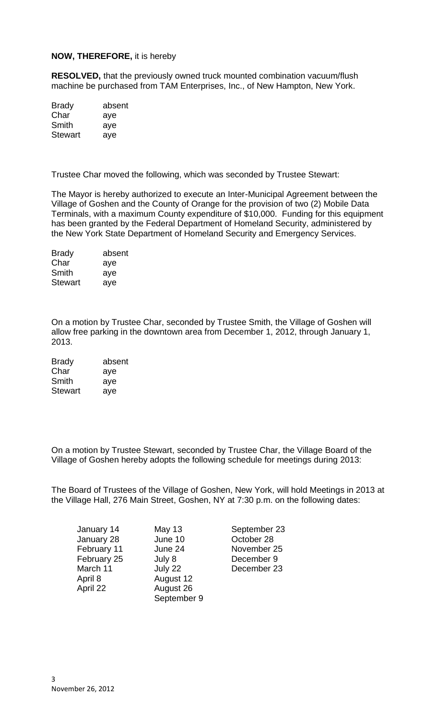# **NOW, THEREFORE,** it is hereby

**RESOLVED,** that the previously owned truck mounted combination vacuum/flush machine be purchased from TAM Enterprises, Inc., of New Hampton, New York.

| <b>Brady</b>   | absent |
|----------------|--------|
| Char           | aye    |
| Smith          | aye    |
| <b>Stewart</b> | aye    |

Trustee Char moved the following, which was seconded by Trustee Stewart:

The Mayor is hereby authorized to execute an Inter-Municipal Agreement between the Village of Goshen and the County of Orange for the provision of two (2) Mobile Data Terminals, with a maximum County expenditure of \$10,000. Funding for this equipment has been granted by the Federal Department of Homeland Security, administered by the New York State Department of Homeland Security and Emergency Services.

Brady absent Char aye Smith aye Stewart aye

On a motion by Trustee Char, seconded by Trustee Smith, the Village of Goshen will allow free parking in the downtown area from December 1, 2012, through January 1, 2013.

| <b>Brady</b>   | absent |
|----------------|--------|
| Char           | aye    |
| Smith          | aye    |
| <b>Stewart</b> | aye    |

On a motion by Trustee Stewart, seconded by Trustee Char, the Village Board of the Village of Goshen hereby adopts the following schedule for meetings during 2013:

The Board of Trustees of the Village of Goshen, New York, will hold Meetings in 2013 at the Village Hall, 276 Main Street, Goshen, NY at 7:30 p.m. on the following dates:

| January 14  | <b>May 13</b> |
|-------------|---------------|
| January 28  | June 10       |
| February 11 | June 24       |
| February 25 | July 8        |
| March 11    | July 22       |
| April 8     | August 12     |
| April 22    | August 26     |
|             | September 9   |

September 23 October 28 November 25 December 9 December 23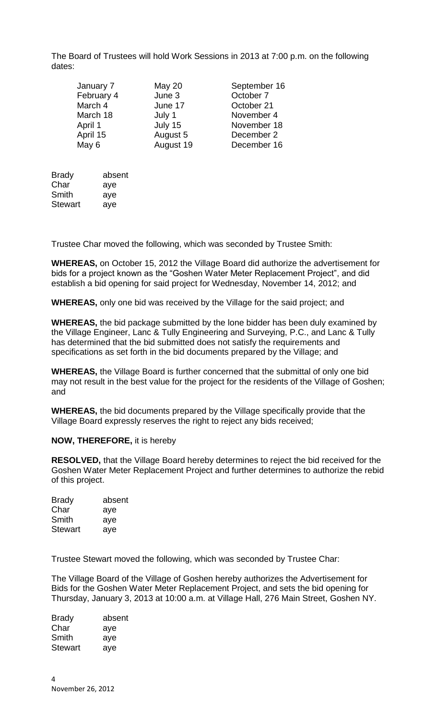The Board of Trustees will hold Work Sessions in 2013 at 7:00 p.m. on the following dates:

| September 16 |
|--------------|
|              |
|              |
| November 4   |
| November 18  |
| December 2   |
| December 16  |
|              |

| <b>Brady</b>   | absent |
|----------------|--------|
| Char           | aye    |
| Smith          | aye    |
| <b>Stewart</b> | aye    |

Trustee Char moved the following, which was seconded by Trustee Smith:

**WHEREAS,** on October 15, 2012 the Village Board did authorize the advertisement for bids for a project known as the "Goshen Water Meter Replacement Project", and did establish a bid opening for said project for Wednesday, November 14, 2012; and

**WHEREAS,** only one bid was received by the Village for the said project; and

**WHEREAS,** the bid package submitted by the lone bidder has been duly examined by the Village Engineer, Lanc & Tully Engineering and Surveying, P.C., and Lanc & Tully has determined that the bid submitted does not satisfy the requirements and specifications as set forth in the bid documents prepared by the Village; and

**WHEREAS,** the Village Board is further concerned that the submittal of only one bid may not result in the best value for the project for the residents of the Village of Goshen; and

**WHEREAS,** the bid documents prepared by the Village specifically provide that the Village Board expressly reserves the right to reject any bids received;

## **NOW, THEREFORE,** it is hereby

**RESOLVED,** that the Village Board hereby determines to reject the bid received for the Goshen Water Meter Replacement Project and further determines to authorize the rebid of this project.

| <b>Brady</b>   | absent |
|----------------|--------|
| Char           | aye    |
| Smith          | aye    |
| <b>Stewart</b> | aye    |

Trustee Stewart moved the following, which was seconded by Trustee Char:

The Village Board of the Village of Goshen hereby authorizes the Advertisement for Bids for the Goshen Water Meter Replacement Project, and sets the bid opening for Thursday, January 3, 2013 at 10:00 a.m. at Village Hall, 276 Main Street, Goshen NY.

| <b>Brady</b>   | absent |
|----------------|--------|
| Char           | aye    |
| Smith          | aye    |
| <b>Stewart</b> | aye    |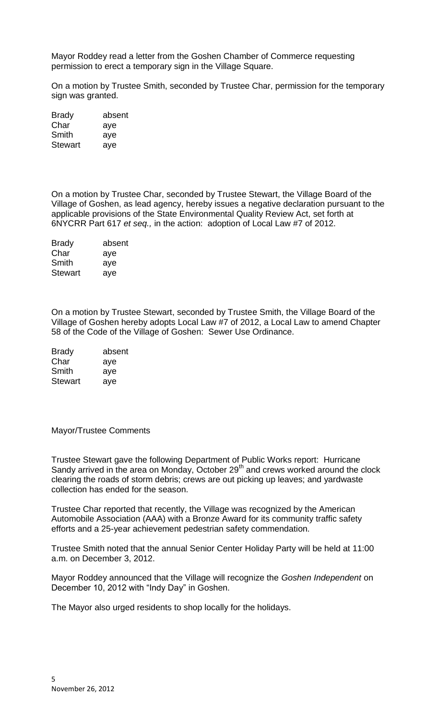Mayor Roddey read a letter from the Goshen Chamber of Commerce requesting permission to erect a temporary sign in the Village Square.

On a motion by Trustee Smith, seconded by Trustee Char, permission for the temporary sign was granted.

| <b>Brady</b>   | absent |
|----------------|--------|
| Char           | aye    |
| Smith          | aye    |
| <b>Stewart</b> | aye    |

On a motion by Trustee Char, seconded by Trustee Stewart, the Village Board of the Village of Goshen, as lead agency, hereby issues a negative declaration pursuant to the applicable provisions of the State Environmental Quality Review Act, set forth at 6NYCRR Part 617 *et seq.,* in the action: adoption of Local Law #7 of 2012.

| <b>Brady</b>   | absent |
|----------------|--------|
| Char           | aye    |
| Smith          | aye    |
| <b>Stewart</b> | aye    |
|                |        |

On a motion by Trustee Stewart, seconded by Trustee Smith, the Village Board of the Village of Goshen hereby adopts Local Law #7 of 2012, a Local Law to amend Chapter 58 of the Code of the Village of Goshen: Sewer Use Ordinance.

| <b>Brady</b>   | absent |
|----------------|--------|
| Char           | aye    |
| Smith          | aye    |
| <b>Stewart</b> | aye    |

### Mayor/Trustee Comments

Trustee Stewart gave the following Department of Public Works report: Hurricane Sandy arrived in the area on Monday, October 29th and crews worked around the clock clearing the roads of storm debris; crews are out picking up leaves; and yardwaste collection has ended for the season.

Trustee Char reported that recently, the Village was recognized by the American Automobile Association (AAA) with a Bronze Award for its community traffic safety efforts and a 25-year achievement pedestrian safety commendation.

Trustee Smith noted that the annual Senior Center Holiday Party will be held at 11:00 a.m. on December 3, 2012.

Mayor Roddey announced that the Village will recognize the *Goshen Independent* on December 10, 2012 with "Indy Day" in Goshen.

The Mayor also urged residents to shop locally for the holidays.